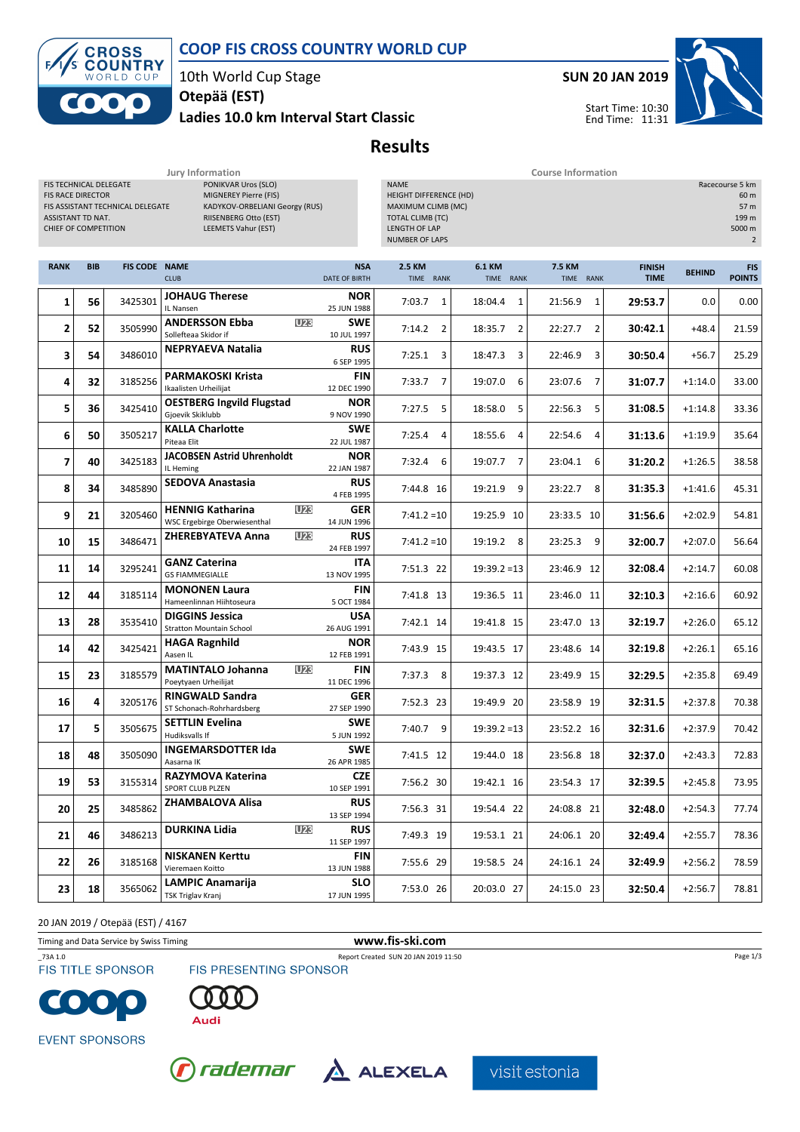### COOP FIS CROSS COUNTRY WORLD CUP



10th World Cup Stage

### Ladies 10.0 km Interval Start Classic Otepää (EST)



Start Time: 10:30 End Time: 11:31

Results

| Jury Information                                                                                                                                                                                                                                                      |            |                      |                                                                       |                                                                                                                                                                                                          | <b>Course Information</b> |                            |                           |                              |               |                             |  |
|-----------------------------------------------------------------------------------------------------------------------------------------------------------------------------------------------------------------------------------------------------------------------|------------|----------------------|-----------------------------------------------------------------------|----------------------------------------------------------------------------------------------------------------------------------------------------------------------------------------------------------|---------------------------|----------------------------|---------------------------|------------------------------|---------------|-----------------------------|--|
| FIS TECHNICAL DELEGATE<br>PONIKVAR Uros (SLO)<br>MIGNEREY Pierre (FIS)<br><b>FIS RACE DIRECTOR</b><br>KADYKOV-ORBELIANI Georgy (RUS)<br>FIS ASSISTANT TECHNICAL DELEGATE<br>ASSISTANT TD NAT.<br>RIISENBERG Otto (EST)<br>CHIEF OF COMPETITION<br>LEEMETS Vahur (EST) |            |                      |                                                                       | <b>NAME</b><br>Racecourse 5 km<br>HEIGHT DIFFERENCE (HD)<br>60 m<br>MAXIMUM CLIMB (MC)<br>57 m<br><b>TOTAL CLIMB (TC)</b><br>199 m<br>LENGTH OF LAP<br>5000 m<br><b>NUMBER OF LAPS</b><br>$\overline{2}$ |                           |                            |                           |                              |               |                             |  |
| <b>RANK</b>                                                                                                                                                                                                                                                           | <b>BIB</b> | <b>FIS CODE NAME</b> | <b>CLUB</b>                                                           | <b>NSA</b><br>DATE OF BIRTH                                                                                                                                                                              | 2.5 KM<br>TIME RANK       | <b>6.1 KM</b><br>TIME RANK | 7.5 KM<br>TIME RANK       | <b>FINISH</b><br><b>TIME</b> | <b>BEHIND</b> | <b>FIS</b><br><b>POINTS</b> |  |
| 1                                                                                                                                                                                                                                                                     | 56         | 3425301              | <b>JOHAUG Therese</b><br>IL Nansen                                    | <b>NOR</b><br>25 JUN 1988                                                                                                                                                                                | 7:03.7<br>$\mathbf{1}$    | 18:04.4<br>1               | $\mathbf{1}$<br>21:56.9   | 29:53.7                      | 0.0           | 0.00                        |  |
| 2                                                                                                                                                                                                                                                                     | 52         | 3505990              | <b>U23</b><br><b>ANDERSSON Ebba</b><br>Sollefteaa Skidor if           | <b>SWE</b><br>10 JUL 1997                                                                                                                                                                                | 7:14.2<br>$\overline{2}$  | $\overline{2}$<br>18:35.7  | 22:27.7<br>$\overline{2}$ | 30:42.1                      | $+48.4$       | 21.59                       |  |
| 3                                                                                                                                                                                                                                                                     | 54         | 3486010              | <b>NEPRYAEVA Natalia</b>                                              | <b>RUS</b><br>6 SEP 1995                                                                                                                                                                                 | 7:25.1<br>3               | 18:47.3<br>3               | 22:46.9<br>3              | 30:50.4                      | $+56.7$       | 25.29                       |  |
| 4                                                                                                                                                                                                                                                                     | 32         | 3185256              | <b>PARMAKOSKI Krista</b><br>Ikaalisten Urheilijat                     | <b>FIN</b><br>12 DEC 1990                                                                                                                                                                                | $\overline{7}$<br>7:33.7  | 19:07.0<br>6               | 7<br>23:07.6              | 31:07.7                      | $+1:14.0$     | 33.00                       |  |
| 5                                                                                                                                                                                                                                                                     | 36         | 3425410              | <b>OESTBERG Ingvild Flugstad</b><br>Gjoevik Skiklubb                  | <b>NOR</b><br>9 NOV 1990                                                                                                                                                                                 | 7:27.5<br>5               | 18:58.0<br>5               | 22:56.3<br>5              | 31:08.5                      | $+1:14.8$     | 33.36                       |  |
| 6                                                                                                                                                                                                                                                                     | 50         | 3505217              | <b>KALLA Charlotte</b><br>Piteaa Elit                                 | <b>SWE</b><br>22 JUL 1987                                                                                                                                                                                | 7:25.4<br>4               | 18:55.6<br>4               | 22:54.6<br>4              | 31:13.6                      | $+1:19.9$     | 35.64                       |  |
| 7                                                                                                                                                                                                                                                                     | 40         | 3425183              | <b>JACOBSEN Astrid Uhrenholdt</b><br>IL Heming                        | <b>NOR</b><br>22 JAN 1987                                                                                                                                                                                | 7:32.4<br>6               | 19:07.7<br>7               | 23:04.1<br>6              | 31:20.2                      | $+1:26.5$     | 38.58                       |  |
| 8                                                                                                                                                                                                                                                                     | 34         | 3485890              | <b>SEDOVA Anastasia</b>                                               | <b>RUS</b><br>4 FEB 1995                                                                                                                                                                                 | 7:44.8 16                 | 9<br>19:21.9               | 8<br>23:22.7              | 31:35.3                      | $+1:41.6$     | 45.31                       |  |
| 9                                                                                                                                                                                                                                                                     | 21         | 3205460              | <b>U23</b><br><b>HENNIG Katharina</b><br>WSC Ergebirge Oberwiesenthal | <b>GER</b><br>14 JUN 1996                                                                                                                                                                                | $7:41.2=10$               | 19:25.9 10                 | 23:33.5 10                | 31:56.6                      | $+2:02.9$     | 54.81                       |  |
| 10                                                                                                                                                                                                                                                                    | 15         | 3486471              | <b>U23</b><br><b>ZHEREBYATEVA Anna</b>                                | <b>RUS</b><br>24 FEB 1997                                                                                                                                                                                | $7:41.2=10$               | 19:19.2 8                  | 9<br>23:25.3              | 32:00.7                      | $+2:07.0$     | 56.64                       |  |
| 11                                                                                                                                                                                                                                                                    | 14         | 3295241              | <b>GANZ Caterina</b><br><b>GS FIAMMEGIALLE</b>                        | <b>ITA</b><br>13 NOV 1995                                                                                                                                                                                | 7:51.3 22                 | $19:39.2 = 13$             | 23:46.9 12                | 32:08.4                      | $+2:14.7$     | 60.08                       |  |
| 12                                                                                                                                                                                                                                                                    | 44         | 3185114              | <b>MONONEN Laura</b><br>Hameenlinnan Hiihtoseura                      | <b>FIN</b><br>5 OCT 1984                                                                                                                                                                                 | 7:41.8 13                 | 19:36.5 11                 | 23:46.0 11                | 32:10.3                      | $+2:16.6$     | 60.92                       |  |
| 13                                                                                                                                                                                                                                                                    | 28         | 3535410              | <b>DIGGINS Jessica</b><br><b>Stratton Mountain School</b>             | <b>USA</b><br>26 AUG 1991                                                                                                                                                                                | 7:42.1 14                 | 19:41.8 15                 | 23:47.0 13                | 32:19.7                      | $+2:26.0$     | 65.12                       |  |
| 14                                                                                                                                                                                                                                                                    | 42         | 3425421              | <b>HAGA Ragnhild</b><br>Aasen IL                                      | <b>NOR</b><br>12 FEB 1991                                                                                                                                                                                | 7:43.9 15                 | 19:43.5 17                 | 23:48.6 14                | 32:19.8                      | $+2:26.1$     | 65.16                       |  |
| 15                                                                                                                                                                                                                                                                    | 23         | 3185579              | <b>U23</b><br><b>MATINTALO Johanna</b><br>Poeytyaen Urheilijat        | <b>FIN</b><br>11 DEC 1996                                                                                                                                                                                | 7:37.3<br>8               | 19:37.3 12                 | 23:49.9 15                | 32:29.5                      | $+2:35.8$     | 69.49                       |  |
| 16                                                                                                                                                                                                                                                                    | 4          | 3205176              | <b>RINGWALD Sandra</b><br>ST Schonach-Rohrhardsberg                   | <b>GER</b><br>27 SEP 1990                                                                                                                                                                                | 7:52.3 23                 | 19:49.9 20                 | 23:58.9 19                | 32:31.5                      | $+2:37.8$     | 70.38                       |  |
| 17                                                                                                                                                                                                                                                                    | 5          | 3505675              | <b>SETTLIN Evelina</b><br>Hudiksvalls If                              | <b>SWE</b><br>5 JUN 1992                                                                                                                                                                                 | 7:40.7<br>9               | $19:39.2 = 13$             | 23:52.2 16                | 32:31.6                      | $+2:37.9$     | 70.42                       |  |
| 18                                                                                                                                                                                                                                                                    | 48         | 3505090              | <b>INGEMARSDOTTER Ida</b><br>Aasarna IK                               | <b>SWE</b><br>26 APR 1985                                                                                                                                                                                | 7:41.5 12                 | 19:44.0 18                 | 23:56.8 18                | 32:37.0                      | $+2:43.3$     | 72.83                       |  |
| 19                                                                                                                                                                                                                                                                    | 53         | 3155314              | <b>RAZYMOVA Katerina</b><br>SPORT CLUB PLZEN                          | <b>CZE</b><br>10 SEP 1991                                                                                                                                                                                | 7:56.2 30                 | 19:42.1 16                 | 23:54.3 17                | 32:39.5                      | $+2:45.8$     | 73.95                       |  |
| 20                                                                                                                                                                                                                                                                    | 25         | 3485862              | <b>ZHAMBALOVA Alisa</b>                                               | <b>RUS</b><br>13 SEP 1994                                                                                                                                                                                | 7:56.3 31                 | 19:54.4 22                 | 24:08.8 21                | 32:48.0                      | $+2:54.3$     | 77.74                       |  |
| 21                                                                                                                                                                                                                                                                    | 46         | 3486213              | <b>DURKINA Lidia</b><br><b>U23</b>                                    | <b>RUS</b><br>11 SEP 1997                                                                                                                                                                                | 7:49.3 19                 | 19:53.1 21                 | 24:06.1 20                | 32:49.4                      | $+2:55.7$     | 78.36                       |  |
| 22                                                                                                                                                                                                                                                                    | 26         | 3185168              | <b>NISKANEN Kerttu</b><br>Vieremaen Koitto                            | <b>FIN</b><br>13 JUN 1988                                                                                                                                                                                | 7:55.6 29                 | 19:58.5 24                 | 24:16.1 24                | 32:49.9                      | $+2:56.2$     | 78.59                       |  |
| 23                                                                                                                                                                                                                                                                    | 18         | 3565062              | <b>LAMPIC Anamarija</b><br>TSK Triglav Kranj                          | <b>SLO</b><br>17 JUN 1995                                                                                                                                                                                | 7:53.0 26                 | 20:03.0 27                 | 24:15.0 23                | 32:50.4                      | $+2:56.7$     | 78.81                       |  |

20 JAN 2019 / Otepää (EST) / 4167

Timing and Data Service by Swiss Timing www.fis-ski.com

**FIS TITLE SPONSOR** 

FIS PRESENTING SPONSOR





Audi



 $r$ ademar $\Delta$  ALEXELA



visit estonia

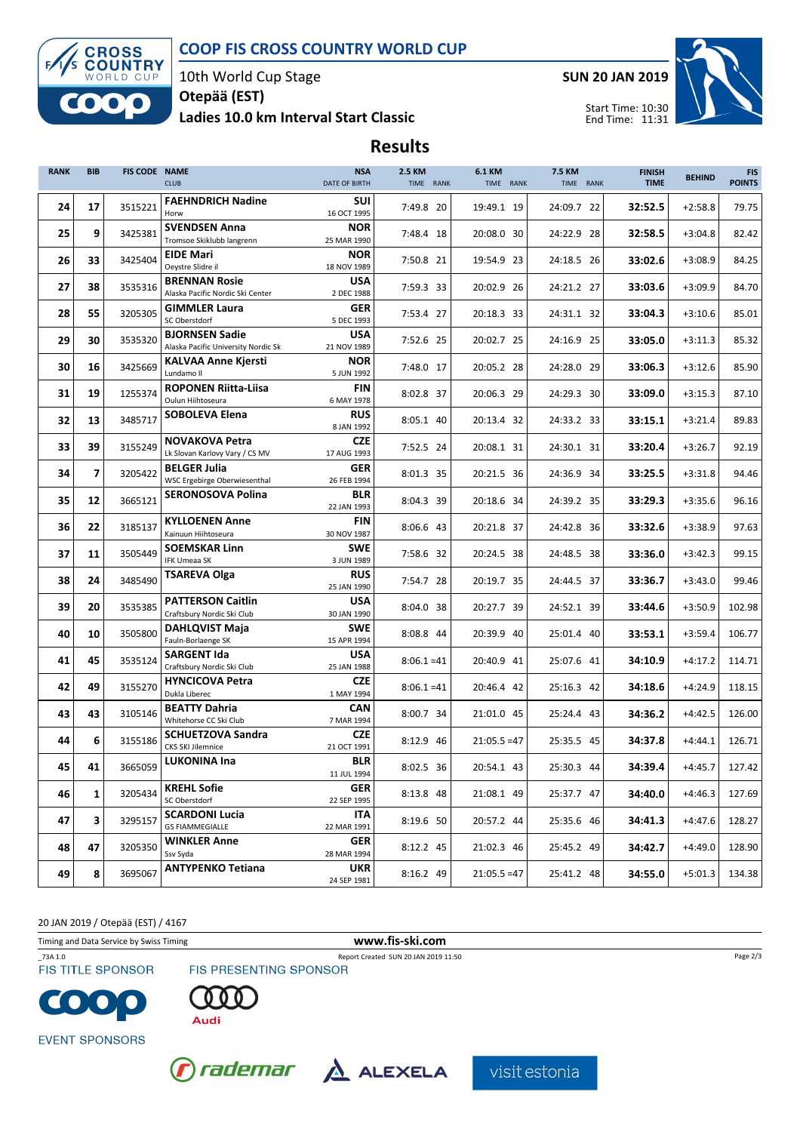### COOP FIS CROSS COUNTRY WORLD CUP



10th World Cup Stage

### Ladies 10.0 km Interval Start Classic Otepää (EST)



Start Time: 10:30 End Time: 11:31



# Results

| <b>RANK</b> | <b>BIB</b>     | <b>FIS CODE NAME</b> | <b>CLUB</b>                                                  | <b>NSA</b><br>DATE OF BIRTH              | 2.5 KM<br>TIME RANK | 6.1 KM<br>TIME RANK | 7.5 KM<br>TIME RANK | <b>FINISH</b><br><b>TIME</b> | <b>BEHIND</b> | <b>FIS</b><br><b>POINTS</b> |
|-------------|----------------|----------------------|--------------------------------------------------------------|------------------------------------------|---------------------|---------------------|---------------------|------------------------------|---------------|-----------------------------|
| 24          | 17             | 3515221              | <b>FAEHNDRICH Nadine</b><br>Horw                             | SUI<br>16 OCT 1995                       | 7:49.8 20           | 19:49.1 19          | 24:09.7 22          | 32:52.5                      | $+2:58.8$     | 79.75                       |
| 25          | 9              | 3425381              | <b>SVENDSEN Anna</b><br>Tromsoe Skiklubb langrenn            | <b>NOR</b><br>25 MAR 1990                | 7:48.4 18           | 20:08.0 30          | 24:22.9 28          | 32:58.5                      | $+3:04.8$     | 82.42                       |
| 26          | 33             | 3425404              | <b>EIDE Mari</b>                                             | <b>NOR</b>                               | 7:50.8 21           | 19:54.9 23          | 24:18.5 26          | 33:02.6                      | $+3:08.9$     | 84.25                       |
| 27          | 38             | 3535316              | Oeystre Slidre il<br><b>BRENNAN Rosie</b>                    | 18 NOV 1989<br><b>USA</b>                |                     |                     |                     | 33:03.6                      | $+3:09.9$     | 84.70                       |
|             |                |                      | Alaska Pacific Nordic Ski Center<br><b>GIMMLER Laura</b>     | 2 DEC 1988<br><b>GER</b>                 | 7:59.3 33           | 20:02.9 26          | 24:21.2 27          |                              |               |                             |
| 28          | 55             | 3205305              | SC Oberstdorf                                                | 5 DEC 1993                               | 7:53.4 27           | 20:18.3 33          | 24:31.1 32          | 33:04.3                      | $+3:10.6$     | 85.01                       |
| 29          | 30             | 3535320              | <b>BJORNSEN Sadie</b><br>Alaska Pacific University Nordic Sk | <b>USA</b><br>21 NOV 1989                | 7:52.6 25           | 20:02.7 25          | 24:16.9 25          | 33:05.0                      | $+3:11.3$     | 85.32                       |
| 30          | 16             | 3425669              | <b>KALVAA Anne Kjersti</b><br>Lundamo II                     | <b>NOR</b><br>5 JUN 1992                 | 7:48.0 17           | 20:05.2 28          | 24:28.0 29          | 33:06.3                      | $+3:12.6$     | 85.90                       |
| 31          | 19             | 1255374              | <b>ROPONEN Riitta-Liisa</b><br>Oulun Hiihtoseura             | FIN<br>6 MAY 1978                        | 8:02.8 37           | 20:06.3 29          | 24:29.3 30          | 33:09.0                      | $+3:15.3$     | 87.10                       |
| 32          | 13             | 3485717              | <b>SOBOLEVA Elena</b>                                        | <b>RUS</b><br>8 JAN 1992                 | 8:05.1 40           | 20:13.4 32          | 24:33.2 33          | 33:15.1                      | $+3:21.4$     | 89.83                       |
| 33          | 39             | 3155249              | <b>NOVAKOVA Petra</b><br>Lk Slovan Karlovy Vary / CS MV      | <b>CZE</b><br>17 AUG 1993                | 7:52.5 24           | 20:08.1 31          | 24:30.1 31          | 33:20.4                      | $+3:26.7$     | 92.19                       |
| 34          | $\overline{7}$ | 3205422              | <b>BELGER Julia</b>                                          | <b>GER</b>                               | 8:01.3 35           | 20:21.5 36          | 24:36.9 34          | 33:25.5                      | $+3:31.8$     | 94.46                       |
| 35          | 12             | 3665121              | WSC Ergebirge Oberwiesenthal<br><b>SERONOSOVA Polina</b>     | 26 FEB 1994<br><b>BLR</b><br>22 JAN 1993 | 8:04.3 39           | 20:18.6 34          | 24:39.2 35          | 33:29.3                      | $+3:35.6$     | 96.16                       |
| 36          | 22             | 3185137              | <b>KYLLOENEN Anne</b><br>Kainuun Hiihtoseura                 | FIN<br>30 NOV 1987                       | 8:06.6 43           | 20:21.8 37          | 24:42.8 36          | 33:32.6                      | $+3:38.9$     | 97.63                       |
| 37          | 11             | 3505449              | <b>SOEMSKAR Linn</b><br><b>IFK Umeaa SK</b>                  | <b>SWE</b><br>3 JUN 1989                 | 7:58.6 32           | 20:24.5 38          | 24:48.5 38          | 33:36.0                      | $+3:42.3$     | 99.15                       |
| 38          | 24             | 3485490              | <b>TSAREVA Olga</b>                                          | <b>RUS</b><br>25 JAN 1990                | 7:54.7 28           | 20:19.7 35          | 24:44.5 37          | 33:36.7                      | $+3:43.0$     | 99.46                       |
| 39          | 20             | 3535385              | <b>PATTERSON Caitlin</b><br>Craftsbury Nordic Ski Club       | <b>USA</b><br>30 JAN 1990                | 8:04.0 38           | 20:27.7 39          | 24:52.1 39          | 33:44.6                      | $+3:50.9$     | 102.98                      |
| 40          | 10             | 3505800              | <b>DAHLQVIST Maja</b><br>Fauln-Borlaenge SK                  | <b>SWE</b><br>15 APR 1994                | 8:08.8 44           | 20:39.9 40          | 25:01.4 40          | 33:53.1                      | $+3:59.4$     | 106.77                      |
| 41          | 45             | 3535124              | <b>SARGENT Ida</b><br>Craftsbury Nordic Ski Club             | <b>USA</b><br>25 JAN 1988                | $8:06.1 = 41$       | 20:40.9 41          | 25:07.6 41          | 34:10.9                      | $+4:17.2$     | 114.71                      |
| 42          | 49             | 3155270              | <b>HYNCICOVA Petra</b><br>Dukla Liberec                      | <b>CZE</b><br>1 MAY 1994                 | $8:06.1 = 41$       | 20:46.4 42          | 25:16.3 42          | 34:18.6                      | $+4:24.9$     | 118.15                      |
| 43          | 43             | 3105146              | <b>BEATTY Dahria</b><br>Whitehorse CC Ski Club               | <b>CAN</b><br>7 MAR 1994                 | 8:00.7 34           | 21:01.0 45          | 25:24.4 43          | 34:36.2                      | $+4:42.5$     | 126.00                      |
| 44          | 6              | 3155186              | <b>SCHUETZOVA Sandra</b><br><b>CKS SKI Jilemnice</b>         | <b>CZE</b><br>21 OCT 1991                | 8:12.9 46           | $21:05.5 = 47$      | 25:35.5 45          | 34:37.8                      | $+4:44.1$     | 126.71                      |
| 45          | 41             | 3665059              | <b>LUKONINA Ina</b>                                          | <b>BLR</b><br>11 JUL 1994                | 8:02.5 36           | 20:54.1 43          | 25:30.3 44          | 34:39.4                      | $+4:45.7$     | 127.42                      |
| 46          | 1              | 3205434              | <b>KREHL Sofie</b><br>SC Oberstdorf                          | <b>GER</b><br>22 SEP 1995                | 8:13.8 48           | 21:08.1 49          | 25:37.7 47          | 34:40.0                      | $+4:46.3$     | 127.69                      |
| 47          | 3              | 3295157              | <b>SCARDONI Lucia</b>                                        | ITA                                      | 8:19.6 50           | 20:57.2 44          | 25:35.6 46          | 34:41.3                      | +4:47.6       | 128.27                      |
| 48          | 47             | 3205350              | <b>GS FIAMMEGIALLE</b><br><b>WINKLER Anne</b>                | 22 MAR 1991<br><b>GER</b>                | 8:12.2 45           | 21:02.3 46          | 25:45.2 49          | 34:42.7                      | $+4:49.0$     | 128.90                      |
|             |                |                      | Ssv Syda<br><b>ANTYPENKO Tetiana</b>                         | 28 MAR 1994<br><b>UKR</b>                |                     |                     |                     |                              |               |                             |
| 49          | 8              | 3695067              |                                                              | 24 SEP 1981                              | 8:16.2 49           | $21:05.5 = 47$      | 25:41.2 48          | 34:55.0                      | $+5:01.3$     | 134.38                      |

20 JAN 2019 / Otepää (EST) / 4167

Timing and Data Service by Swiss Timing **www.fis-ski.com** 

\_73A 1.0 Report Created SUN 20 JAN 2019 11:50 **FIS TITLE SPONSOR** 



FIS PRESENTING SPONSOR

 $\bullet$ **EVENT SPONSORS** 





visit estonia

Page 2/3